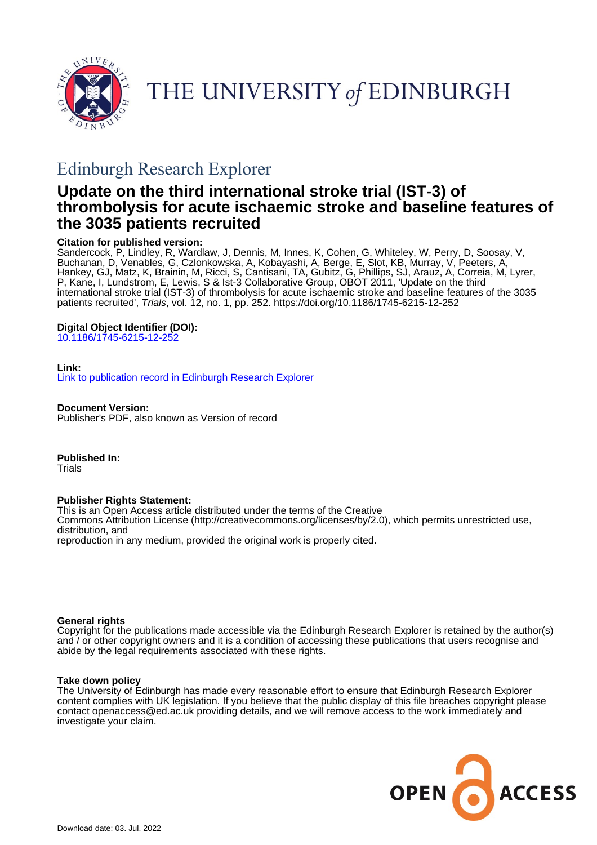

THE UNIVERSITY of EDINBURGH

## Edinburgh Research Explorer

### **Update on the third international stroke trial (IST-3) of thrombolysis for acute ischaemic stroke and baseline features of the 3035 patients recruited**

### **Citation for published version:**

Sandercock, P, Lindley, R, Wardlaw, J, Dennis, M, Innes, K, Cohen, G, Whiteley, W, Perry, D, Soosay, V, Buchanan, D, Venables, G, Czlonkowska, A, Kobayashi, A, Berge, E, Slot, KB, Murray, V, Peeters, A, Hankey, GJ, Matz, K, Brainin, M, Ricci, S, Cantisani, TA, Gubitz, G, Phillips, SJ, Arauz, A, Correia, M, Lyrer, P, Kane, I, Lundstrom, E, Lewis, S & Ist-3 Collaborative Group, OBOT 2011, 'Update on the third international stroke trial (IST-3) of thrombolysis for acute ischaemic stroke and baseline features of the 3035 patients recruited', Trials, vol. 12, no. 1, pp. 252. <https://doi.org/10.1186/1745-6215-12-252>

### **Digital Object Identifier (DOI):**

[10.1186/1745-6215-12-252](https://doi.org/10.1186/1745-6215-12-252)

#### **Link:**

[Link to publication record in Edinburgh Research Explorer](https://www.research.ed.ac.uk/en/publications/90b2d169-5f70-420c-92f2-da870ccb2707)

**Document Version:**

Publisher's PDF, also known as Version of record

**Published In: Trials** 

#### **Publisher Rights Statement:**

This is an Open Access article distributed under the terms of the Creative Commons Attribution License (http://creativecommons.org/licenses/by/2.0), which permits unrestricted use, distribution, and reproduction in any medium, provided the original work is properly cited.

#### **General rights**

Copyright for the publications made accessible via the Edinburgh Research Explorer is retained by the author(s) and / or other copyright owners and it is a condition of accessing these publications that users recognise and abide by the legal requirements associated with these rights.

#### **Take down policy**

The University of Edinburgh has made every reasonable effort to ensure that Edinburgh Research Explorer content complies with UK legislation. If you believe that the public display of this file breaches copyright please contact openaccess@ed.ac.uk providing details, and we will remove access to the work immediately and investigate your claim.

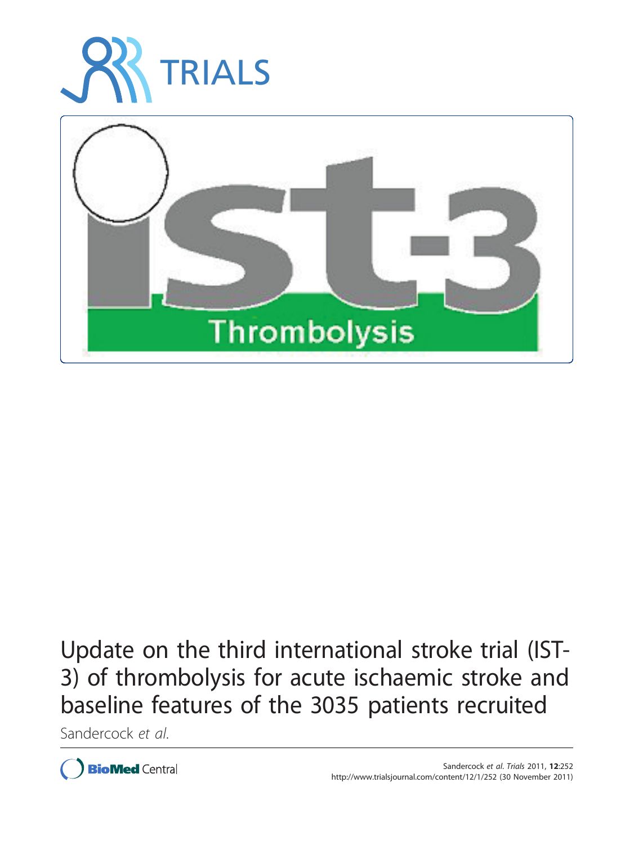



# Update on the third international stroke trial (IST-3) of thrombolysis for acute ischaemic stroke and baseline features of the 3035 patients recruited

Sandercock et al.

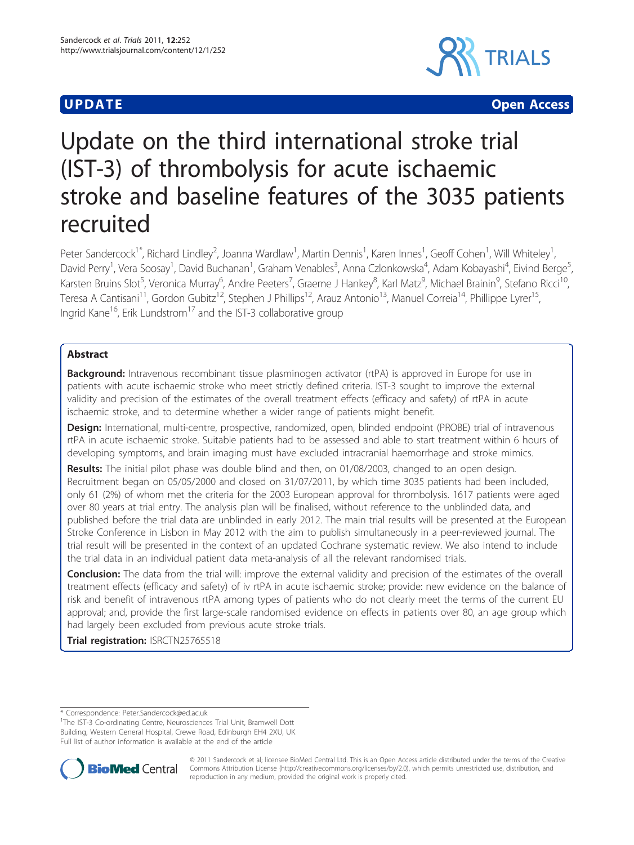



**UPDATE CONSERVATION CONSERVATION CONSERVATION CONSERVATION CONSERVATION CONSERVATION CONSERVATION CONSERVATION** 

# Update on the third international stroke trial (IST-3) of thrombolysis for acute ischaemic stroke and baseline features of the 3035 patients recruited

Peter Sandercock<sup>1\*</sup>, Richard Lindley<sup>2</sup>, Joanna Wardlaw<sup>1</sup>, Martin Dennis<sup>1</sup>, Karen Innes<sup>1</sup>, Geoff Cohen<sup>1</sup>, Will Whiteley<sup>1</sup> , David Perry<sup>1</sup>, Vera Soosay<sup>1</sup>, David Buchanan<sup>1</sup>, Graham Venables<sup>3</sup>, Anna Czlonkowska<sup>4</sup>, Adam Kobayashi<sup>4</sup>, Eivind Berge<sup>5</sup> .<br>. Karsten Bruins Slot<sup>5</sup>, Veronica Murray<sup>6</sup>, Andre Peeters<sup>7</sup>, Graeme J Hankey<sup>8</sup>, Karl Matz<sup>9</sup>, Michael Brainin<sup>9</sup>, Stefano Ricci<sup>10</sup>, Teresa A Cantisani<sup>11</sup>, Gordon Gubitz<sup>12</sup>, Stephen J Phillips<sup>12</sup>, Arauz Antonio<sup>13</sup>, Manuel Correia<sup>14</sup>, Phillippe Lyrer<sup>15</sup>, Ingrid Kane<sup>16</sup>, Erik Lundstrom<sup>17</sup> and the IST-3 collaborative group

#### Abstract

**Background:** Intravenous recombinant tissue plasminogen activator (rtPA) is approved in Europe for use in patients with acute ischaemic stroke who meet strictly defined criteria. IST-3 sought to improve the external validity and precision of the estimates of the overall treatment effects (efficacy and safety) of rtPA in acute ischaemic stroke, and to determine whether a wider range of patients might benefit.

Design: International, multi-centre, prospective, randomized, open, blinded endpoint (PROBE) trial of intravenous rtPA in acute ischaemic stroke. Suitable patients had to be assessed and able to start treatment within 6 hours of developing symptoms, and brain imaging must have excluded intracranial haemorrhage and stroke mimics.

Results: The initial pilot phase was double blind and then, on 01/08/2003, changed to an open design. Recruitment began on 05/05/2000 and closed on 31/07/2011, by which time 3035 patients had been included, only 61 (2%) of whom met the criteria for the 2003 European approval for thrombolysis. 1617 patients were aged over 80 years at trial entry. The analysis plan will be finalised, without reference to the unblinded data, and published before the trial data are unblinded in early 2012. The main trial results will be presented at the European Stroke Conference in Lisbon in May 2012 with the aim to publish simultaneously in a peer-reviewed journal. The trial result will be presented in the context of an updated Cochrane systematic review. We also intend to include the trial data in an individual patient data meta-analysis of all the relevant randomised trials.

Conclusion: The data from the trial will: improve the external validity and precision of the estimates of the overall treatment effects (efficacy and safety) of iv rtPA in acute ischaemic stroke; provide: new evidence on the balance of risk and benefit of intravenous rtPA among types of patients who do not clearly meet the terms of the current EU approval; and, provide the first large-scale randomised evidence on effects in patients over 80, an age group which had largely been excluded from previous acute stroke trials.

Trial registration: [ISRCTN25765518](http://www.controlled-trials.com/ISRCTN25765518)

<sup>&</sup>lt;sup>1</sup>The IST-3 Co-ordinating Centre, Neurosciences Trial Unit, Bramwell Dott Building, Western General Hospital, Crewe Road, Edinburgh EH4 2XU, UK Full list of author information is available at the end of the article



© 2011 Sandercock et al; licensee BioMed Central Ltd. This is an Open Access article distributed under the terms of the Creative Commons Attribution License [\(http://creativecommons.org/licenses/by/2.0](http://creativecommons.org/licenses/by/2.0)), which permits unrestricted use, distribution, and reproduction in any medium, provided the original work is properly cited.

<sup>\*</sup> Correspondence: [Peter.Sandercock@ed.ac.uk](mailto:Peter.Sandercock@ed.ac.uk)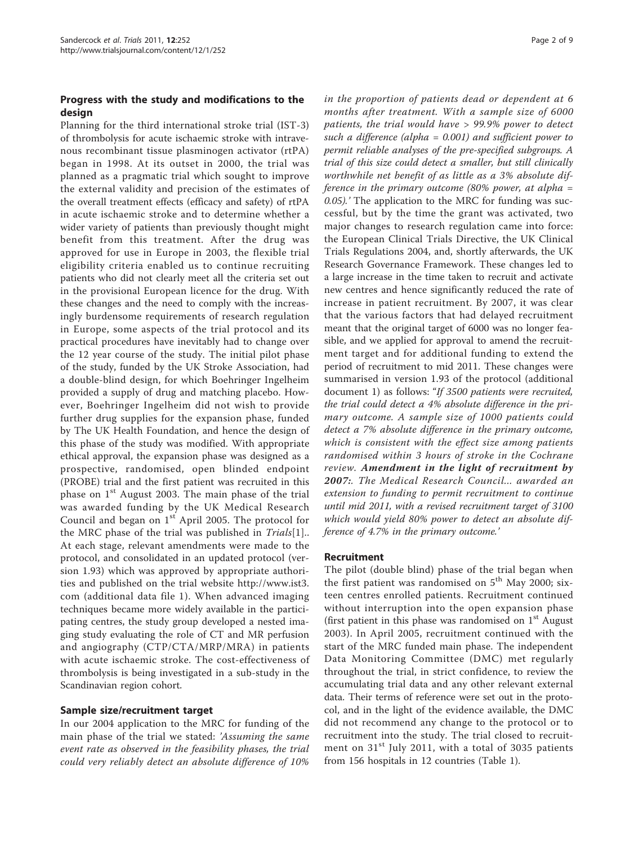#### Progress with the study and modifications to the desian

Planning for the third international stroke trial (IST-3) of thrombolysis for acute ischaemic stroke with intravenous recombinant tissue plasminogen activator (rtPA) began in 1998. At its outset in 2000, the trial was planned as a pragmatic trial which sought to improve the external validity and precision of the estimates of the overall treatment effects (efficacy and safety) of rtPA in acute ischaemic stroke and to determine whether a wider variety of patients than previously thought might benefit from this treatment. After the drug was approved for use in Europe in 2003, the flexible trial eligibility criteria enabled us to continue recruiting patients who did not clearly meet all the criteria set out in the provisional European licence for the drug. With these changes and the need to comply with the increasingly burdensome requirements of research regulation in Europe, some aspects of the trial protocol and its practical procedures have inevitably had to change over the 12 year course of the study. The initial pilot phase of the study, funded by the UK Stroke Association, had a double-blind design, for which Boehringer Ingelheim provided a supply of drug and matching placebo. However, Boehringer Ingelheim did not wish to provide further drug supplies for the expansion phase, funded by The UK Health Foundation, and hence the design of this phase of the study was modified. With appropriate ethical approval, the expansion phase was designed as a prospective, randomised, open blinded endpoint (PROBE) trial and the first patient was recruited in this phase on 1st August 2003. The main phase of the trial was awarded funding by the UK Medical Research Council and began on  $1<sup>st</sup>$  April 2005. The protocol for the MRC phase of the trial was published in Trials[[1\]](#page-10-0).. At each stage, relevant amendments were made to the protocol, and consolidated in an updated protocol (version 1.93) which was approved by appropriate authorities and published on the trial website [http://www.ist3.](http://www.ist3.com) [com](http://www.ist3.com) (additional data file [1](#page-8-0)). When advanced imaging techniques became more widely available in the participating centres, the study group developed a nested imaging study evaluating the role of CT and MR perfusion and angiography (CTP/CTA/MRP/MRA) in patients with acute ischaemic stroke. The cost-effectiveness of thrombolysis is being investigated in a sub-study in the Scandinavian region cohort.

#### Sample size/recruitment target

In our 2004 application to the MRC for funding of the main phase of the trial we stated: 'Assuming the same event rate as observed in the feasibility phases, the trial could very reliably detect an absolute difference of 10% in the proportion of patients dead or dependent at 6 months after treatment. With a sample size of 6000 patients, the trial would have > 99.9% power to detect such a difference (alpha = 0.001) and sufficient power to permit reliable analyses of the pre-specified subgroups. A trial of this size could detect a smaller, but still clinically worthwhile net benefit of as little as a 3% absolute difference in the primary outcome  $(80\%$  power, at alpha = 0.05).' The application to the MRC for funding was successful, but by the time the grant was activated, two major changes to research regulation came into force: the European Clinical Trials Directive, the UK Clinical Trials Regulations 2004, and, shortly afterwards, the UK Research Governance Framework. These changes led to a large increase in the time taken to recruit and activate new centres and hence significantly reduced the rate of increase in patient recruitment. By 2007, it was clear that the various factors that had delayed recruitment meant that the original target of 6000 was no longer feasible, and we applied for approval to amend the recruitment target and for additional funding to extend the period of recruitment to mid 2011. These changes were summarised in version 1.93 of the protocol (additional document 1) as follows: "If 3500 patients were recruited, the trial could detect a 4% absolute difference in the primary outcome. A sample size of 1000 patients could detect a 7% absolute difference in the primary outcome, which is consistent with the effect size among patients randomised within 3 hours of stroke in the Cochrane review. Amendment in the light of recruitment by 2007:. The Medical Research Council... awarded an extension to funding to permit recruitment to continue until mid 2011, with a revised recruitment target of 3100 which would yield 80% power to detect an absolute difference of 4.7% in the primary outcome.'

#### Recruitment

The pilot (double blind) phase of the trial began when the first patient was randomised on  $5<sup>th</sup>$  May 2000; sixteen centres enrolled patients. Recruitment continued without interruption into the open expansion phase (first patient in this phase was randomised on  $1<sup>st</sup>$  August 2003). In April 2005, recruitment continued with the start of the MRC funded main phase. The independent Data Monitoring Committee (DMC) met regularly throughout the trial, in strict confidence, to review the accumulating trial data and any other relevant external data. Their terms of reference were set out in the protocol, and in the light of the evidence available, the DMC did not recommend any change to the protocol or to recruitment into the study. The trial closed to recruitment on  $31<sup>st</sup>$  July 2011, with a total of 3035 patients from 156 hospitals in 12 countries (Table [1\)](#page-4-0).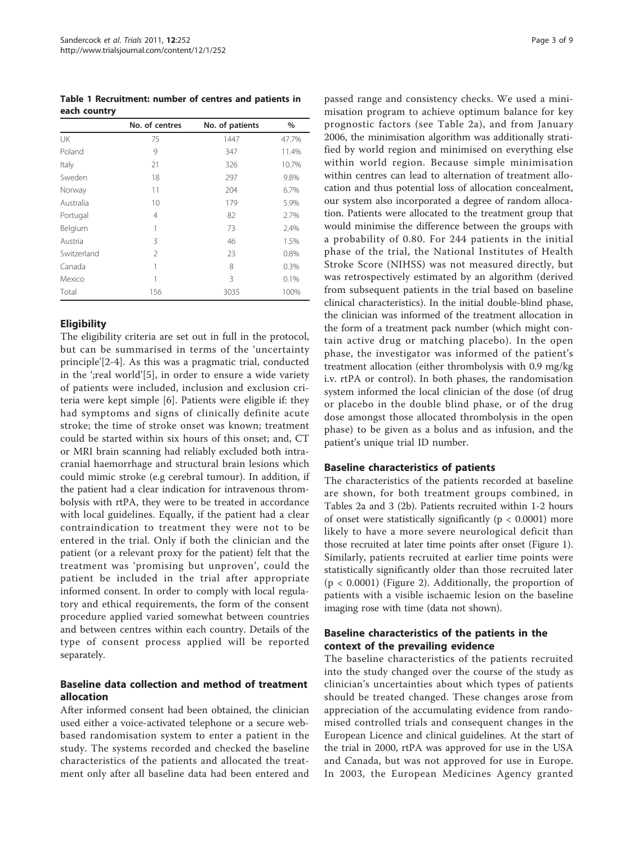<span id="page-4-0"></span>Table 1 Recruitment: number of centres and patients in each country

|             | No. of centres | No. of patients | $\%$  |
|-------------|----------------|-----------------|-------|
| UK          | 75             | 1447            | 47.7% |
| Poland      | 9              | 347             | 11.4% |
| Italy       | 21             | 326             | 10.7% |
| Sweden      | 18             | 297             | 9.8%  |
| Norway      | 11             | 204             | 6.7%  |
| Australia   | 10             | 179             | 5.9%  |
| Portugal    | 4              | 82              | 2.7%  |
| Belgium     | 1              | 73              | 2.4%  |
| Austria     | 3              | 46              | 1.5%  |
| Switzerland | $\mathfrak{D}$ | 23              | 0.8%  |
| Canada      | 1              | 8               | 0.3%  |
| Mexico      | 1              | 3               | 0.1%  |
| Total       | 156            | 3035            | 100%  |

#### **Eligibility**

The eligibility criteria are set out in full in the protocol, but can be summarised in terms of the 'uncertainty principle'[[2-4](#page-10-0)]. As this was a pragmatic trial, conducted in the ';real world'[\[5](#page-10-0)], in order to ensure a wide variety of patients were included, inclusion and exclusion criteria were kept simple [\[6](#page-10-0)]. Patients were eligible if: they had symptoms and signs of clinically definite acute stroke; the time of stroke onset was known; treatment could be started within six hours of this onset; and, CT or MRI brain scanning had reliably excluded both intracranial haemorrhage and structural brain lesions which could mimic stroke (e.g cerebral tumour). In addition, if the patient had a clear indication for intravenous thrombolysis with rtPA, they were to be treated in accordance with local guidelines. Equally, if the patient had a clear contraindication to treatment they were not to be entered in the trial. Only if both the clinician and the patient (or a relevant proxy for the patient) felt that the treatment was 'promising but unproven', could the patient be included in the trial after appropriate informed consent. In order to comply with local regulatory and ethical requirements, the form of the consent procedure applied varied somewhat between countries and between centres within each country. Details of the type of consent process applied will be reported separately.

#### Baseline data collection and method of treatment allocation

After informed consent had been obtained, the clinician used either a voice-activated telephone or a secure webbased randomisation system to enter a patient in the study. The systems recorded and checked the baseline characteristics of the patients and allocated the treatment only after all baseline data had been entered and

passed range and consistency checks. We used a minimisation program to achieve optimum balance for key prognostic factors (see Table [2](#page-5-0)a), and from January 2006, the minimisation algorithm was additionally stratified by world region and minimised on everything else within world region. Because simple minimisation within centres can lead to alternation of treatment allocation and thus potential loss of allocation concealment, our system also incorporated a degree of random allocation. Patients were allocated to the treatment group that would minimise the difference between the groups with a probability of 0.80. For 244 patients in the initial phase of the trial, the National Institutes of Health Stroke Score (NIHSS) was not measured directly, but was retrospectively estimated by an algorithm (derived from subsequent patients in the trial based on baseline clinical characteristics). In the initial double-blind phase, the clinician was informed of the treatment allocation in the form of a treatment pack number (which might contain active drug or matching placebo). In the open phase, the investigator was informed of the patient's treatment allocation (either thrombolysis with 0.9 mg/kg i.v. rtPA or control). In both phases, the randomisation system informed the local clinician of the dose (of drug or placebo in the double blind phase, or of the drug dose amongst those allocated thrombolysis in the open phase) to be given as a bolus and as infusion, and the patient's unique trial ID number.

#### Baseline characteristics of patients

The characteristics of the patients recorded at baseline are shown, for both treatment groups combined, in Tables [2](#page-5-0)a and [3](#page-6-0) (2b). Patients recruited within 1-2 hours of onset were statistically significantly ( $p < 0.0001$ ) more likely to have a more severe neurological deficit than those recruited at later time points after onset (Figure [1](#page-7-0)). Similarly, patients recruited at earlier time points were statistically significantly older than those recruited later  $(p < 0.0001)$  (Figure [2](#page-7-0)). Additionally, the proportion of patients with a visible ischaemic lesion on the baseline imaging rose with time (data not shown).

#### Baseline characteristics of the patients in the context of the prevailing evidence

The baseline characteristics of the patients recruited into the study changed over the course of the study as clinician's uncertainties about which types of patients should be treated changed. These changes arose from appreciation of the accumulating evidence from randomised controlled trials and consequent changes in the European Licence and clinical guidelines. At the start of the trial in 2000, rtPA was approved for use in the USA and Canada, but was not approved for use in Europe. In 2003, the European Medicines Agency granted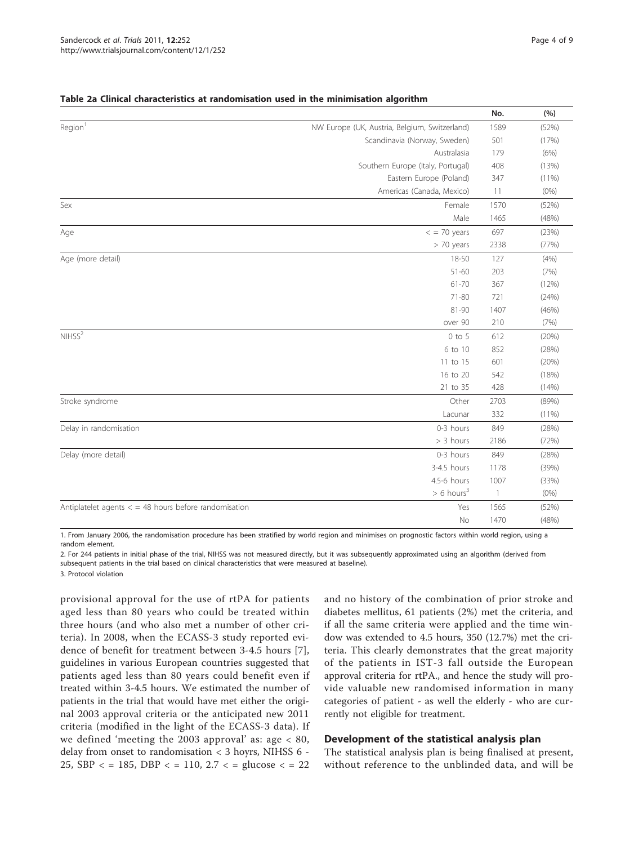#### <span id="page-5-0"></span>Table 2a Clinical characteristics at randomisation used in the minimisation algorithm

|                                                               |                                               | No.            | (%)     |
|---------------------------------------------------------------|-----------------------------------------------|----------------|---------|
| Region <sup>1</sup>                                           | NW Europe (UK, Austria, Belgium, Switzerland) | 1589           | (52%)   |
|                                                               | Scandinavia (Norway, Sweden)                  | 501            | (17%)   |
|                                                               | Australasia                                   | 179            | (6%)    |
|                                                               | Southern Europe (Italy, Portugal)             | 408            | (13%)   |
|                                                               | Eastern Europe (Poland)                       | 347            | (11%)   |
|                                                               | Americas (Canada, Mexico)                     | 11             | $(0\%)$ |
| Sex                                                           | Female                                        | 1570           | (52%)   |
|                                                               | Male                                          | 1465           | (48%)   |
| Age                                                           | $<$ = 70 years                                | 697            | (23%)   |
|                                                               | > 70 years                                    | 2338           | (77%)   |
| Age (more detail)                                             | 18-50                                         | 127            | (4% )   |
|                                                               | 51-60                                         | 203            | (7%)    |
|                                                               | $61 - 70$                                     | 367            | (12%)   |
|                                                               | $71 - 80$                                     | 721            | (24%)   |
|                                                               | 81-90                                         | 1407           | (46%)   |
|                                                               | over 90                                       | 210            | (7%)    |
| NIHSS <sup>2</sup>                                            | $0$ to $5$                                    | 612            | (20%)   |
|                                                               | 6 to 10                                       | 852            | (28%)   |
|                                                               | 11 to 15                                      | 601            | (20%)   |
|                                                               | 16 to 20                                      | 542            | (18%)   |
|                                                               | 21 to 35                                      | 428            | (14%)   |
| Stroke syndrome                                               | Other                                         | 2703           | (89%)   |
|                                                               | Lacunar                                       | 332            | (11%)   |
| Delay in randomisation                                        | 0-3 hours                                     | 849            | (28%)   |
|                                                               | $> 3$ hours                                   | 2186           | (72%)   |
| Delay (more detail)                                           | 0-3 hours                                     | 849            | (28%)   |
|                                                               | 3-4.5 hours                                   | 1178           | (39%)   |
|                                                               | 4.5-6 hours                                   | 1007           | (33%)   |
|                                                               | $> 6$ hours <sup>3</sup>                      | $\overline{1}$ | $(0\%)$ |
| Antiplatelet agents $\langle$ = 48 hours before randomisation | Yes                                           | 1565           | (52%)   |
|                                                               | No                                            | 1470           | (48%)   |

1. From January 2006, the randomisation procedure has been stratified by world region and minimises on prognostic factors within world region, using a random element.

2. For 244 patients in initial phase of the trial, NIHSS was not measured directly, but it was subsequently approximated using an algorithm (derived from subsequent patients in the trial based on clinical characteristics that were measured at baseline).

3. Protocol violation

provisional approval for the use of rtPA for patients aged less than 80 years who could be treated within three hours (and who also met a number of other criteria). In 2008, when the ECASS-3 study reported evidence of benefit for treatment between 3-4.5 hours [\[7](#page-10-0)], guidelines in various European countries suggested that patients aged less than 80 years could benefit even if treated within 3-4.5 hours. We estimated the number of patients in the trial that would have met either the original 2003 approval criteria or the anticipated new 2011 criteria (modified in the light of the ECASS-3 data). If we defined 'meeting the 2003 approval' as: age < 80, delay from onset to randomisation < 3 hoyrs, NIHSS 6 - 25, SBP  $\langle$  = 185, DBP  $\langle$  = 110, 2.7  $\langle$  = glucose  $\langle$  = 22

and no history of the combination of prior stroke and diabetes mellitus, 61 patients (2%) met the criteria, and if all the same criteria were applied and the time window was extended to 4.5 hours, 350 (12.7%) met the criteria. This clearly demonstrates that the great majority of the patients in IST-3 fall outside the European approval criteria for rtPA., and hence the study will provide valuable new randomised information in many categories of patient - as well the elderly - who are currently not eligible for treatment.

#### Development of the statistical analysis plan

The statistical analysis plan is being finalised at present, without reference to the unblinded data, and will be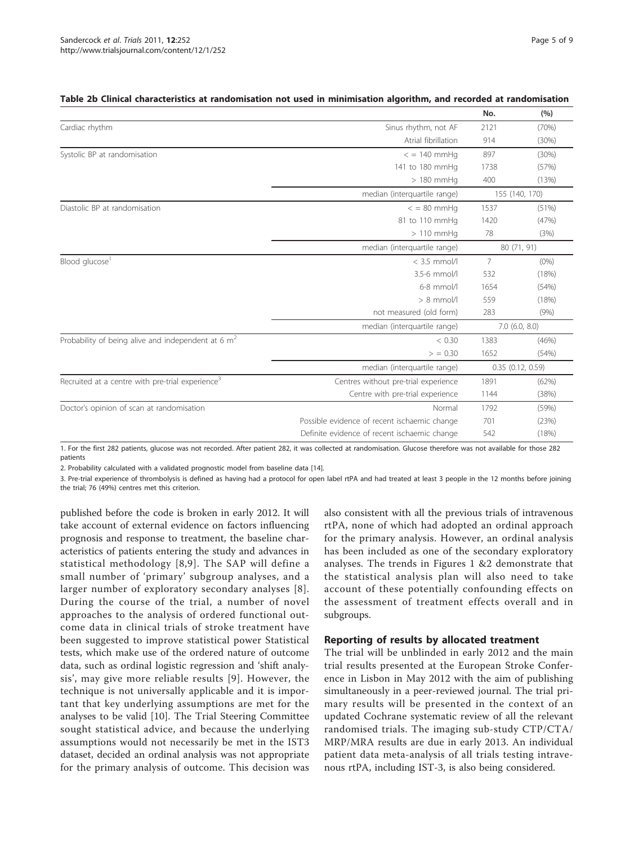|                                                              |                                              | No.              | (%)     |
|--------------------------------------------------------------|----------------------------------------------|------------------|---------|
| Cardiac rhythm                                               | Sinus rhythm, not AF                         | 2121             | (70%)   |
|                                                              | Atrial fibrillation                          | 914              | (30%)   |
| Systolic BP at randomisation                                 | $<$ = 140 mmHq                               | 897              | (30%)   |
|                                                              | 141 to 180 mmHg                              | 1738             | (57%)   |
|                                                              | $>180$ mmHq                                  | 400              | (13%)   |
|                                                              | median (interguartile range)                 | 155 (140, 170)   |         |
| Diastolic BP at randomisation                                | $<$ = 80 mmHq                                | 1537             | (51%)   |
|                                                              | 81 to 110 mmHq                               | 1420             | (47%)   |
|                                                              | $>110$ mmHq                                  | 78               | (3%)    |
|                                                              | median (interquartile range)                 | 80 (71, 91)      |         |
| Blood glucose <sup>1</sup>                                   | $<$ 3.5 mmol/l                               | 7                | $(0\%)$ |
|                                                              | $3.5-6$ mmol/l                               | 532              | (18%)   |
|                                                              | $6-8$ mmol/l                                 | 1654             | (54%)   |
|                                                              | $> 8$ mmol/l                                 | 559              | (18%)   |
|                                                              | not measured (old form)                      | 283              | (9% )   |
|                                                              | median (interquartile range)                 | $7.0$ (6.0, 8.0) |         |
| Probability of being alive and independent at 6 $m2$         | < 0.30                                       | 1383             | (46%)   |
|                                                              | > 0.30                                       | 1652             | (54%)   |
|                                                              | median (interguartile range)                 | 0.35(0.12, 0.59) |         |
| Recruited at a centre with pre-trial experience <sup>3</sup> | Centres without pre-trial experience         | 1891             | (62%)   |
|                                                              | Centre with pre-trial experience             | 1144             | (38%)   |
| Doctor's opinion of scan at randomisation                    | Normal                                       | 1792             | (59%)   |
|                                                              | Possible evidence of recent ischaemic change | 701              | (23%)   |
|                                                              | Definite evidence of recent ischaemic change | 542              | (18%)   |

#### <span id="page-6-0"></span>Table 2b Clinical characteristics at randomisation not used in minimisation algorithm, and recorded at randomisation

1. For the first 282 patients, glucose was not recorded. After patient 282, it was collected at randomisation. Glucose therefore was not available for those 282 patients

2. Probability calculated with a validated prognostic model from baseline data [\[14](#page-10-0)].

3. Pre-trial experience of thrombolysis is defined as having had a protocol for open label rtPA and had treated at least 3 people in the 12 months before joining the trial; 76 (49%) centres met this criterion.

published before the code is broken in early 2012. It will take account of external evidence on factors influencing prognosis and response to treatment, the baseline characteristics of patients entering the study and advances in statistical methodology [[8,9\]](#page-10-0). The SAP will define a small number of 'primary' subgroup analyses, and a larger number of exploratory secondary analyses [[8\]](#page-10-0). During the course of the trial, a number of novel approaches to the analysis of ordered functional outcome data in clinical trials of stroke treatment have been suggested to improve statistical power Statistical tests, which make use of the ordered nature of outcome data, such as ordinal logistic regression and 'shift analysis', may give more reliable results [[9\]](#page-10-0). However, the technique is not universally applicable and it is important that key underlying assumptions are met for the analyses to be valid [[10\]](#page-10-0). The Trial Steering Committee sought statistical advice, and because the underlying assumptions would not necessarily be met in the IST3 dataset, decided an ordinal analysis was not appropriate for the primary analysis of outcome. This decision was also consistent with all the previous trials of intravenous rtPA, none of which had adopted an ordinal approach for the primary analysis. However, an ordinal analysis has been included as one of the secondary exploratory analyses. The trends in Figures [1](#page-7-0) [&2](#page-7-0) demonstrate that the statistical analysis plan will also need to take account of these potentially confounding effects on the assessment of treatment effects overall and in subgroups.

#### Reporting of results by allocated treatment

The trial will be unblinded in early 2012 and the main trial results presented at the European Stroke Conference in Lisbon in May 2012 with the aim of publishing simultaneously in a peer-reviewed journal. The trial primary results will be presented in the context of an updated Cochrane systematic review of all the relevant randomised trials. The imaging sub-study CTP/CTA/ MRP/MRA results are due in early 2013. An individual patient data meta-analysis of all trials testing intravenous rtPA, including IST-3, is also being considered.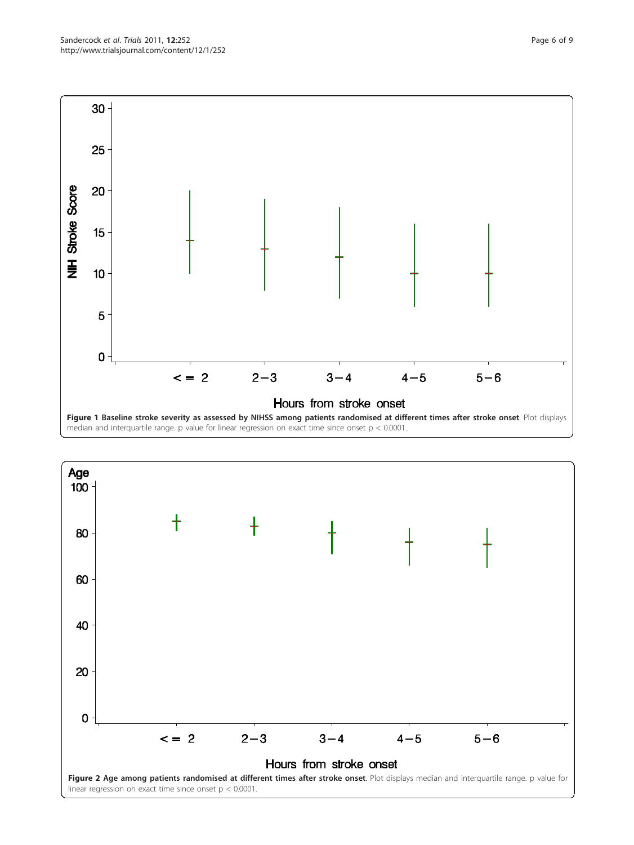<span id="page-7-0"></span>

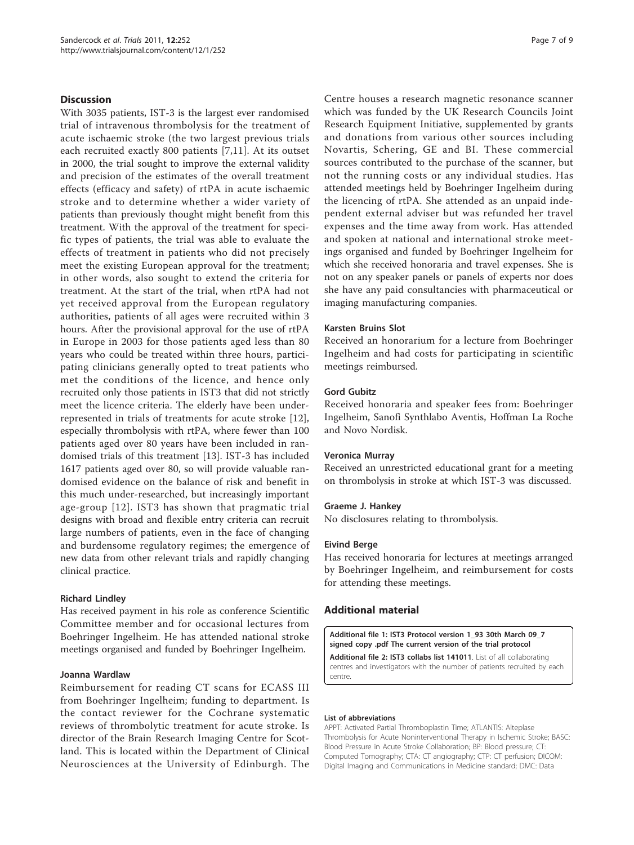#### <span id="page-8-0"></span>**Discussion**

With 3035 patients, IST-3 is the largest ever randomised trial of intravenous thrombolysis for the treatment of acute ischaemic stroke (the two largest previous trials each recruited exactly 800 patients [\[7](#page-10-0),[11\]](#page-10-0). At its outset in 2000, the trial sought to improve the external validity and precision of the estimates of the overall treatment effects (efficacy and safety) of rtPA in acute ischaemic stroke and to determine whether a wider variety of patients than previously thought might benefit from this treatment. With the approval of the treatment for specific types of patients, the trial was able to evaluate the effects of treatment in patients who did not precisely meet the existing European approval for the treatment; in other words, also sought to extend the criteria for treatment. At the start of the trial, when rtPA had not yet received approval from the European regulatory authorities, patients of all ages were recruited within 3 hours. After the provisional approval for the use of rtPA in Europe in 2003 for those patients aged less than 80 years who could be treated within three hours, participating clinicians generally opted to treat patients who met the conditions of the licence, and hence only recruited only those patients in IST3 that did not strictly meet the licence criteria. The elderly have been underrepresented in trials of treatments for acute stroke [\[12](#page-10-0)], especially thrombolysis with rtPA, where fewer than 100 patients aged over 80 years have been included in randomised trials of this treatment [[13\]](#page-10-0). IST-3 has included 1617 patients aged over 80, so will provide valuable randomised evidence on the balance of risk and benefit in this much under-researched, but increasingly important age-group [[12\]](#page-10-0). IST3 has shown that pragmatic trial designs with broad and flexible entry criteria can recruit large numbers of patients, even in the face of changing and burdensome regulatory regimes; the emergence of new data from other relevant trials and rapidly changing clinical practice.

#### Richard Lindley

Has received payment in his role as conference Scientific Committee member and for occasional lectures from Boehringer Ingelheim. He has attended national stroke meetings organised and funded by Boehringer Ingelheim.

#### Joanna Wardlaw

Reimbursement for reading CT scans for ECASS III from Boehringer Ingelheim; funding to department. Is the contact reviewer for the Cochrane systematic reviews of thrombolytic treatment for acute stroke. Is director of the Brain Research Imaging Centre for Scotland. This is located within the Department of Clinical Neurosciences at the University of Edinburgh. The

Centre houses a research magnetic resonance scanner which was funded by the UK Research Councils Joint Research Equipment Initiative, supplemented by grants and donations from various other sources including Novartis, Schering, GE and BI. These commercial sources contributed to the purchase of the scanner, but not the running costs or any individual studies. Has attended meetings held by Boehringer Ingelheim during the licencing of rtPA. She attended as an unpaid independent external adviser but was refunded her travel expenses and the time away from work. Has attended and spoken at national and international stroke meetings organised and funded by Boehringer Ingelheim for which she received honoraria and travel expenses. She is not on any speaker panels or panels of experts nor does she have any paid consultancies with pharmaceutical or imaging manufacturing companies.

#### Karsten Bruins Slot

Received an honorarium for a lecture from Boehringer Ingelheim and had costs for participating in scientific meetings reimbursed.

#### Gord Gubitz

Received honoraria and speaker fees from: Boehringer Ingelheim, Sanofi Synthlabo Aventis, Hoffman La Roche and Novo Nordisk.

#### Veronica Murray

Received an unrestricted educational grant for a meeting on thrombolysis in stroke at which IST-3 was discussed.

#### Graeme J. Hankey

No disclosures relating to thrombolysis.

#### Eivind Berge

Has received honoraria for lectures at meetings arranged by Boehringer Ingelheim, and reimbursement for costs for attending these meetings.

#### Additional material

[Additional file 1: I](http://www.biomedcentral.com/content/supplementary/1745-6215-12-252-S1.pdf)ST3 Protocol version 1\_93 30th March 09\_7 signed copy .pdf The current version of the trial protocol [Additional file 2: I](http://www.biomedcentral.com/content/supplementary/1745-6215-12-252-S2.doc)ST3 collabs list 141011. List of all collaborating centres and investigators with the number of patients recruited by each centre.

#### List of abbreviations

APPT: Activated Partial Thromboplastin Time; ATLANTIS: Alteplase Thrombolysis for Acute Noninterventional Therapy in Ischemic Stroke; BASC: Blood Pressure in Acute Stroke Collaboration; BP: Blood pressure; CT: Computed Tomography; CTA: CT angiography; CTP: CT perfusion; DICOM: Digital Imaging and Communications in Medicine standard; DMC: Data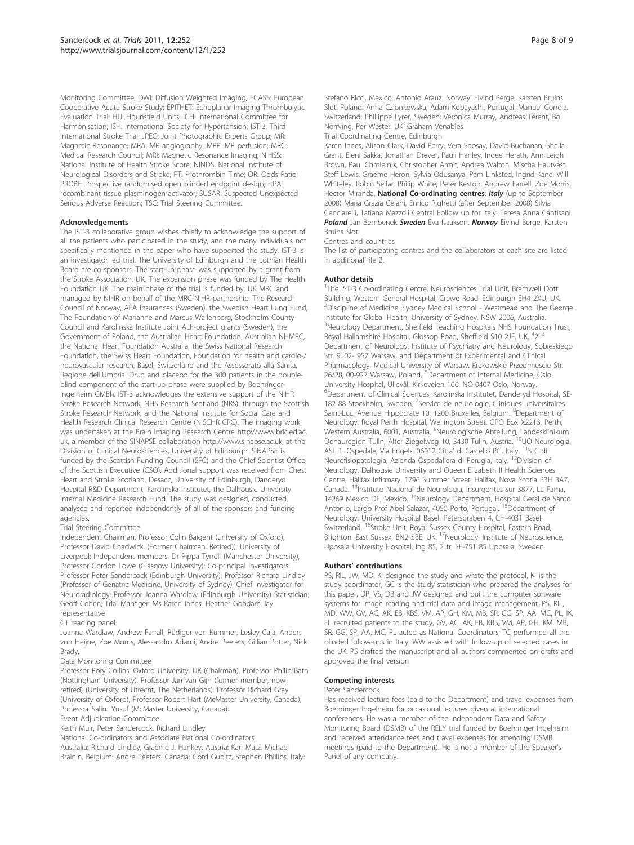Monitoring Committee; DWI: Diffusion Weighted Imaging; ECASS: European Cooperative Acute Stroke Study; EPITHET: Echoplanar Imaging Thrombolytic Evaluation Trial; HU: Hounsfield Units; ICH: International Committee for Harmonisation; ISH: International Society for Hypertension; IST-3: Third International Stroke Trial; JPEG: Joint Photographic Experts Group; MR: Magnetic Resonance; MRA: MR angiography; MRP: MR perfusion; MRC: Medical Research Council; MRI: Magnetic Resonance Imaging; NIHSS: National Institute of Health Stroke Score; NINDS: National Institute of Neurological Disorders and Stroke; PT: Prothrombin Time; OR: Odds Ratio; PROBE: Prospective randomised open blinded endpoint design; rtPA: recombinant tissue plasminogen activator; SUSAR: Suspected Unexpected Serious Adverse Reaction; TSC: Trial Steering Committee.

#### Acknowledgements

The IST-3 collaborative group wishes chiefly to acknowledge the support of all the patients who participated in the study, and the many individuals not specifically mentioned in the paper who have supported the study. IST-3 is an investigator led trial. The University of Edinburgh and the Lothian Health Board are co-sponsors. The start-up phase was supported by a grant from the Stroke Association, UK. The expansion phase was funded by The Health Foundation UK. The main phase of the trial is funded by: UK MRC and managed by NIHR on behalf of the MRC-NIHR partnership, The Research Council of Norway, AFA Insurances (Sweden), the Swedish Heart Lung Fund, The Foundation of Marianne and Marcus Wallenberg, Stockholm County Council and Karolinska Institute Joint ALF-project grants (Sweden), the Government of Poland, the Australian Heart Foundation, Australian NHMRC, the National Heart Foundation Australia, the Swiss National Research Foundation, the Swiss Heart Foundation, Foundation for health and cardio-/ neurovascular research, Basel, Switzerland and the Assessorato alla Sanita, Regione dell'Umbria. Drug and placebo for the 300 patients in the doubleblind component of the start-up phase were supplied by Boehringer-Ingelheim GMBh. IST-3 acknowledges the extensive support of the NIHR Stroke Research Network, NHS Research Scotland (NRS), through the Scottish Stroke Research Network, and the National Institute for Social Care and Health Research Clinical Research Centre (NISCHR CRC). The imaging work was undertaken at the Brain Imaging Research Centre [http://www.bric.ed.ac.](http://www.bric.ed.ac.uk) [uk,](http://www.bric.ed.ac.uk) a member of the SINAPSE collaboration<http://www.sinapse.ac.uk>, at the Division of Clinical Neurosciences, University of Edinburgh. SINAPSE is funded by the Scottish Funding Council (SFC) and the Chief Scientist Office of the Scottish Executive (CSO). Additional support was received from Chest Heart and Stroke Scotland, Desacc, University of Edinburgh, Danderyd Hospital R&D Department, Karolinska Institutet, the Dalhousie University Internal Medicine Research Fund. The study was designed, conducted, analysed and reported independently of all of the sponsors and funding agencies.

#### Trial Steering Committee

Independent Chairman, Professor Colin Baigent (university of Oxford), Professor David Chadwick, (Former Chairman, Retired)): University of Liverpool; Independent members: Dr Pippa Tyrrell (Manchester University), Professor Gordon Lowe (Glasgow University); Co-principal Investigators: Professor Peter Sandercock (Edinburgh University); Professor Richard Lindley (Professor of Geriatric Medicine, University of Sydney); Chief Investigator for Neuroradiology: Professor Joanna Wardlaw (Edinburgh University) Statistician: Geoff Cohen; Trial Manager: Ms Karen Innes. Heather Goodare: lay representative

#### CT reading panel

Joanna Wardlaw, Andrew Farrall, Rüdiger von Kummer, Lesley Cala, Anders von Heijne, Zoe Morris, Alessandro Adami, Andre Peeters, Gillian Potter, Nick Brady.

#### Data Monitoring Committee

Professor Rory Collins, Oxford University, UK (Chairman), Professor Philip Bath (Nottingham University), Professor Jan van Gijn (former member, now retired) (University of Utrecht, The Netherlands), Professor Richard Gray (University of Oxford), Professor Robert Hart (McMaster University, Canada), Professor Salim Yusuf (McMaster University, Canada).

Event Adjudication Committee

Keith Muir, Peter Sandercock, Richard Lindley

National Co-ordinators and Associate National Co-ordinators

Australia: Richard Lindley, Graeme J. Hankey. Austria: Karl Matz, Michael Brainin. Belgium: Andre Peeters. Canada: Gord Gubitz, Stephen Phillips. Italy: Stefano Ricci. Mexico: Antonio Arauz. Norway: Eivind Berge, Karsten Bruins Slot. Poland: Anna Czlonkowska, Adam Kobayashi. Portugal: Manuel Correia. Switzerland: Phillippe Lyrer. Sweden: Veronica Murray, Andreas Terent, Bo Norrving, Per Wester: UK: Graham Venables

Trial Coordinating Centre, Edinburgh

Karen Innes, Alison Clark, David Perry, Vera Soosay, David Buchanan, Sheila Grant, Eleni Sakka, Jonathan Drever, Pauli Hanley, Indee Herath, Ann Leigh Brown, Paul Chmielnik, Christopher Armit, Andrea Walton, Mischa Hautvast, Steff Lewis, Graeme Heron, Sylvia Odusanya, Pam Linksted, Ingrid Kane, Will Whiteley, Robin Sellar, Philip White, Peter Keston, Andrew Farrell, Zoe Morris, Hector Miranda. National Co-ordinating centres: Italy (up to September 2008) Maria Grazia Celani, Enrico Righetti (after September 2008) Silvia Cenciarelli, Tatiana Mazzoli Central Follow up for Italy: Teresa Anna Cantisani. Poland Jan Bembenek Sweden Eva Isaakson. Norway Eivind Berge, Karsten Bruins Slot.

Centres and countries

The list of participating centres and the collaborators at each site are listed in additional file [2.](#page-8-0)

#### Author details

<sup>1</sup>The IST-3 Co-ordinating Centre, Neurosciences Trial Unit, Bramwell Dott Building, Western General Hospital, Crewe Road, Edinburgh EH4 2XU, UK. <sup>2</sup>Discipline of Medicine, Sydney Medical School - Westmead and The George Institute for Global Health, University of Sydney, NSW 2006, Australia. <sup>3</sup>Neurology Department, Sheffield Teaching Hospitals NHS Foundation Trust Royal Hallamshire Hospital, Glossop Road, Sheffield S10 2JF. UK. <sup>4</sup>2<sup>nc</sup> Department of Neurology, Institute of Psychiatry and Neurology, Sobieskiego Str. 9, 02- 957 Warsaw, and Department of Experimental and Clinical Pharmacology, Medical University of Warsaw. Krakowskie Przedmiescie Str. 26/28, 00-927 Warsaw, Poland. <sup>5</sup> Department of Internal Medicine, Oslo University Hospital, Ullevål, Kirkeveien 166, NO-0407 Oslo, Norway. 6 Department of Clinical Sciences, Karolinska Institutet, Danderyd Hospital, SE-182 88 Stockholm, Sweden. <sup>7</sup>Service de neurologie, Cliniques universitaires Saint-Luc, Avenue Hippocrate 10, 1200 Bruxelles, Belgium. <sup>8</sup>Department of Neurology, Royal Perth Hospital, Wellington Street, GPO Box X2213, Perth, Western Australia, 6001, Australia. <sup>9</sup>Neurologische Abteilung, Landesklinikum Donauregion Tulln, Alter Ziegelweg 10, 3430 Tulln, Austria. <sup>10</sup>UO Neurologia, ASL 1, Ospedale, Via Engels, 06012 Citta' di Castello PG, Italy. <sup>11</sup>S C di Neurofisiopatologia, Azienda Ospedaliera di Perugia, Italy. <sup>12</sup>Division of Neurology, Dalhousie University and Queen Elizabeth II Health Sciences Centre, Halifax Infirmary, 1796 Summer Street, Halifax, Nova Scotia B3H 3A7, Canada. <sup>13</sup>Instituto Nacional de Neurologia, Insurgentes sur 3877, La Fama, 14269 Mexico DF, Mexico. <sup>14</sup>Neurology Department, Hospital Geral de Santo Antonio, Largo Prof Abel Salazar, 4050 Porto, Portugal. <sup>15</sup>Department of Neurology, University Hospital Basel, Petersgraben 4, CH-4031 Basel, Switzerland. <sup>16</sup>Stroke Unit, Royal Sussex County Hospital, Eastern Road, Brighton, East Sussex, BN2 5BE, UK. 17Neurology, Institute of Neuroscience, Uppsala University Hospital, Ing 85, 2 tr, SE-751 85 Uppsala, Sweden.

#### Authors' contributions

PS, RIL, JW, MD, KI designed the study and wrote the protocol, KI is the study coordinator, GC is the study statistician who prepared the analyses for this paper, DP, VS, DB and JW designed and built the computer software systems for image reading and trial data and image management. PS, RIL, MD, WW, GV, AC, AK, EB, KBS, VM, AP, GH, KM, MB, SR, GG, SP, AA, MC, PL, IK, EL recruited patients to the study, GV, AC, AK, EB, KBS, VM, AP, GH, KM, MB, SR, GG, SP, AA, MC, PL acted as National Coordinators, TC performed all the blinded follow-ups in Italy, WW assisted with follow-up of selected cases in the UK. PS drafted the manuscript and all authors commented on drafts and approved the final version

#### Competing interests

Peter Sandercock

Has received lecture fees (paid to the Department) and travel expenses from Boehringer Ingelheim for occasional lectures given at international conferences. He was a member of the Independent Data and Safety Monitoring Board (DSMB) of the RELY trial funded by Boehringer Ingelheim and received attendance fees and travel expenses for attending DSMB meetings (paid to the Department). He is not a member of the Speaker's Panel of any company.